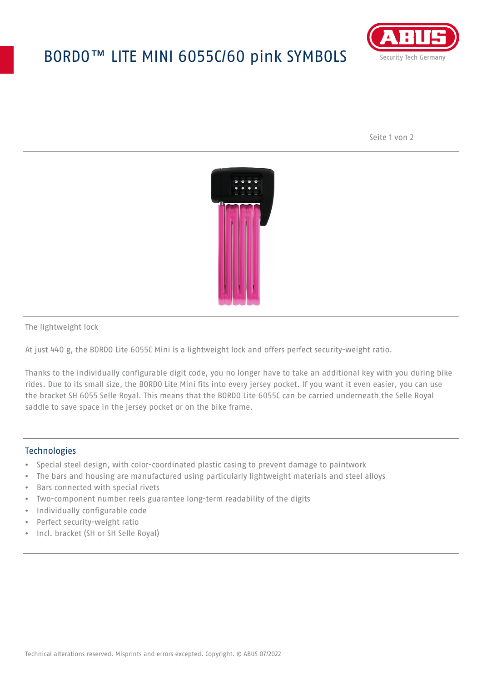## BORDO™ LITE MINI 6055C/60 pink SYMBOLS



Seite 1 von 2



The lightweight lock

At just 440 g, the BORDO Lite 6055C Mini is a lightweight lock and offers perfect security-weight ratio.

Thanks to the individually configurable digit code, you no longer have to take an additional key with you during bike rides. Due to its small size, the BORDO Lite Mini fits into every jersey pocket. If you want it even easier, you can use the bracket SH 6055 Selle Royal. This means that the BORDO Lite 6055C can be carried underneath the Selle Royal saddle to save space in the jersey pocket or on the bike frame.

## **Technologies**

- Special steel design, with color-coordinated plastic casing to prevent damage to paintwork
- The bars and housing are manufactured using particularly lightweight materials and steel alloys
- Bars connected with special rivets
- Two-component number reels guarantee long-term readability of the digits
- Individually configurable code
- Perfect security-weight ratio
- Incl. bracket (SH or SH Selle Royal)